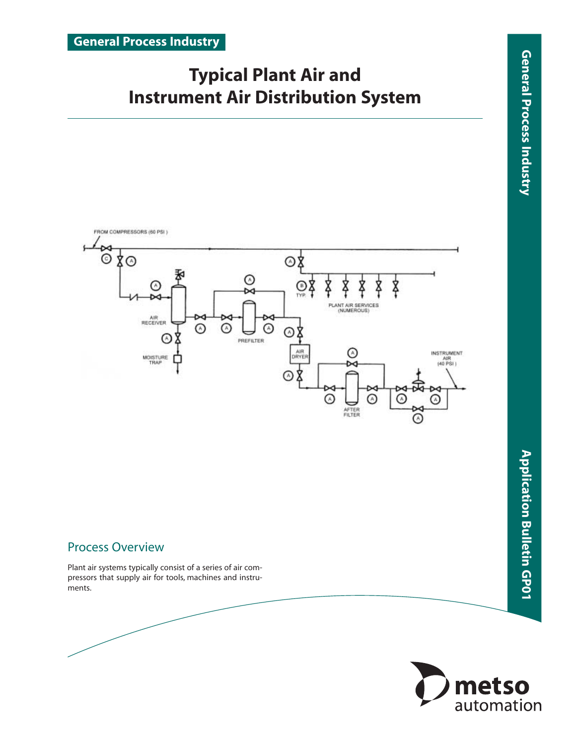# **Typical Plant Air and Instrument Air Distribution System**



# Process Overview

Plant air systems typically consist of a series of air compressors that supply air for tools, machines and instruments.